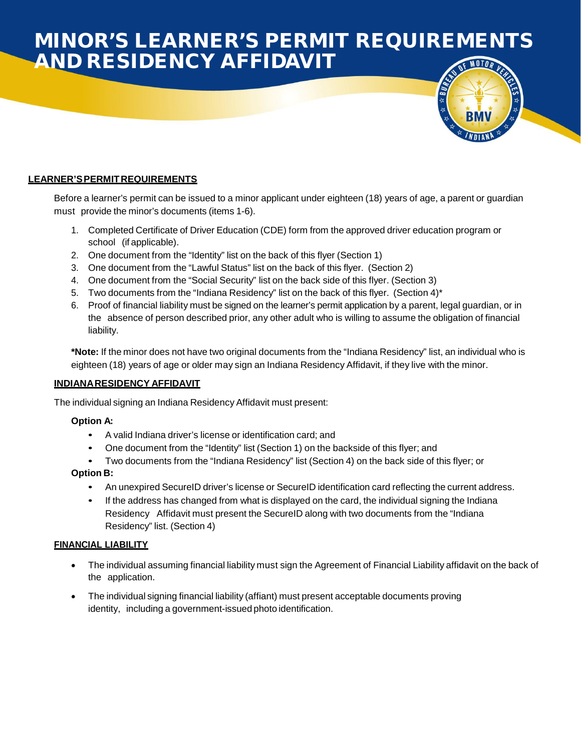## MINOR'S LEARNER'S PERMIT REQUIREMENTS AND RESIDENCY AFFIDAVIT

### **LEARNER'SPERMITREQUIREMENTS**

Before a learner's permit can be issued to a minor applicant under eighteen (18) years of age, a parent or guardian must provide the minor's documents (items 1-6).

- 1. Completed Certificate of Driver Education (CDE) form from the approved driver education program or school (if applicable).
- 2. One document from the "Identity" list on the back of this flyer (Section 1)
- 3. One document from the "Lawful Status" list on the back of this flyer. (Section 2)
- 4. One document from the "Social Security" list on the back side of this flyer. (Section 3)
- 5. Two documents from the "Indiana Residency" list on the back of this flyer. (Section 4)\*
- 6. Proof of financial liability must be signed on the learner's permit application by a parent, legal guardian, or in the absence of person described prior, any other adult who is willing to assume the obligation of financial liability.

**\*Note:** If the minor does not have two original documents from the "Indiana Residency" list, an individual who is eighteen (18) years of age or older may sign an Indiana Residency Affidavit, if they live with the minor.

### **INDIANARESIDENCY AFFIDAVIT**

The individual signing an Indiana Residency Affidavit must present:

### **Option A:**

- A valid Indiana driver's license or identification card; and
- One document from the "Identity" list (Section 1) on the backside of this flyer; and
- Two documents from the "Indiana Residency" list (Section 4) on the back side of this flyer; or

### **Option B:**

- An unexpired SecureID driver's license or SecureID identification card reflecting the current address.
- If the address has changed from what is displayed on the card, the individual signing the Indiana Residency Affidavit must present the SecureID along with two documents from the "Indiana Residency" list. (Section 4)

### **FINANCIAL LIABILITY**

- The individual assuming financial liability must sign the Agreement of Financial Liability affidavit on the back of the application.
- The individual signing financial liability (affiant) must present acceptable documents proving identity, including a government-issued photo identification.